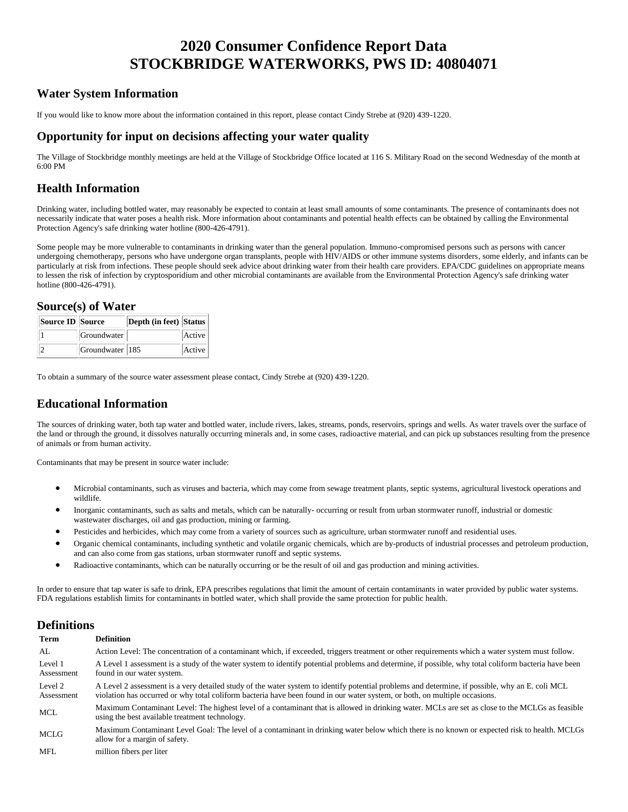# **2020 Consumer Confidence Report Data STOCKBRIDGE WATERWORKS, PWS ID: 40804071**

## **Water System Information**

If you would like to know more about the information contained in this report, please contact Cindy Strebe at (920) 439-1220.

#### **Opportunity for input on decisions affecting your water quality**

The Village of Stockbridge monthly meetings are held at the Village of Stockbridge Office located at 116 S. Military Road on the second Wednesday of the month at 6:00 PM

### **Health Information**

Drinking water, including bottled water, may reasonably be expected to contain at least small amounts of some contaminants. The presence of contaminants does not necessarily indicate that water poses a health risk. More information about contaminants and potential health effects can be obtained by calling the Environmental Protection Agency's safe drinking water hotline (800-426-4791).

Some people may be more vulnerable to contaminants in drinking water than the general population. Immuno-compromised persons such as persons with cancer undergoing chemotherapy, persons who have undergone organ transplants, people with HIV/AIDS or other immune systems disorders, some elderly, and infants can be particularly at risk from infections. These people should seek advice about drinking water from their health care providers. EPA/CDC guidelines on appropriate means to lessen the risk of infection by cryptosporidium and other microbial contaminants are available from the Environmental Protection Agency's safe drinking water hotline (800-426-4791).

#### **Source(s) of Water**

| <b>Source ID Source</b> |                 | Depth (in feet) Status |        |
|-------------------------|-----------------|------------------------|--------|
|                         | Groundwater     |                        | Active |
|                         | Groundwater 185 |                        | Active |

To obtain a summary of the source water assessment please contact, Cindy Strebe at (920) 439-1220.

## **Educational Information**

The sources of drinking water, both tap water and bottled water, include rivers, lakes, streams, ponds, reservoirs, springs and wells. As water travels over the surface of the land or through the ground, it dissolves naturally occurring minerals and, in some cases, radioactive material, and can pick up substances resulting from the presence of animals or from human activity.

Contaminants that may be present in source water include:

- Microbial contaminants, such as viruses and bacteria, which may come from sewage treatment plants, septic systems, agricultural livestock operations and wildlife.
- Inorganic contaminants, such as salts and metals, which can be naturally- occurring or result from urban stormwater runoff, industrial or domestic wastewater discharges, oil and gas production, mining or farming.
- Pesticides and herbicides, which may come from a variety of sources such as agriculture, urban stormwater runoff and residential uses.
- Organic chemical contaminants, including synthetic and volatile organic chemicals, which are by-products of industrial processes and petroleum production, and can also come from gas stations, urban stormwater runoff and septic systems.
- Radioactive contaminants, which can be naturally occurring or be the result of oil and gas production and mining activities.

In order to ensure that tap water is safe to drink, EPA prescribes regulations that limit the amount of certain contaminants in water provided by public water systems. FDA regulations establish limits for contaminants in bottled water, which shall provide the same protection for public health.

### **Definitions**

| Term                  | <b>Definition</b>                                                                                                                                                                                                                                                             |
|-----------------------|-------------------------------------------------------------------------------------------------------------------------------------------------------------------------------------------------------------------------------------------------------------------------------|
| AL                    | Action Level: The concentration of a contaminant which, if exceeded, triggers treatment or other requirements which a water system must follow.                                                                                                                               |
| Level 1<br>Assessment | A Level 1 assessment is a study of the water system to identify potential problems and determine, if possible, why total coliform bacteria have been<br>found in our water system.                                                                                            |
| Level 2<br>Assessment | A Level 2 assessment is a very detailed study of the water system to identify potential problems and determine, if possible, why an E. coli MCL<br>violation has occurred or why total coliform bacteria have been found in our water system, or both, on multiple occasions. |
| MCL                   | Maximum Contaminant Level: The highest level of a contaminant that is allowed in drinking water. MCLs are set as close to the MCLGs as feasible<br>using the best available treatment technology.                                                                             |
| MCLG                  | Maximum Contaminant Level Goal: The level of a contaminant in drinking water below which there is no known or expected risk to health. MCLGs<br>allow for a margin of safety.                                                                                                 |
| MFL                   | million fibers per liter                                                                                                                                                                                                                                                      |